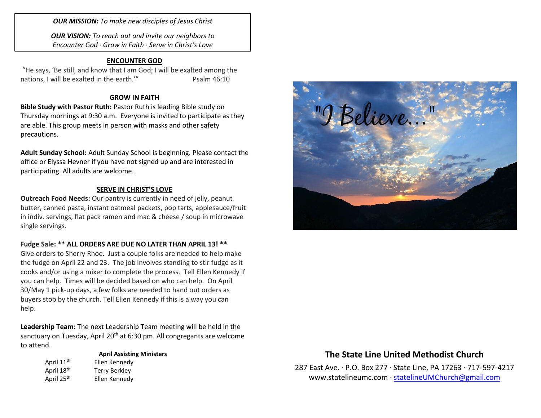*OUR MISSION: To make new disciples of Jesus Christ*

*OUR VISION: To reach out and invite our neighbors to Encounter God · Grow in Faith · Serve in Christ's Love*

#### **ENCOUNTER GOD**

"He says, 'Be still, and know that I am God; I will be exalted among the nations, I will be exalted in the earth." Psalm 46:10

#### **GROW IN FAITH**

**Bible Study with Pastor Ruth:** Pastor Ruth is leading Bible study on Thursday mornings at 9:30 a.m. Everyone is invited to participate as they are able. This group meets in person with masks and other safety precautions.

**Adult Sunday School:** Adult Sunday School is beginning. Please contact the office or Elyssa Hevner if you have not signed up and are interested in participating. All adults are welcome.

#### **SERVE IN CHRIST'S LOVE**

**Outreach Food Needs:** Our pantry is currently in need of jelly, peanut butter, canned pasta, instant oatmeal packets, pop tarts, applesauce/fruit in indiv. servings, flat pack ramen and mac & cheese / soup in microwave single servings.

#### **Fudge Sale:** \*\* **ALL ORDERS ARE DUE NO LATER THAN APRIL 13! \*\***

Give orders to Sherry Rhoe. Just a couple folks are needed to help make the fudge on April 22 and 23. The job involves standing to stir fudge as it cooks and/or using a mixer to complete the process. Tell Ellen Kennedy if you can help. Times will be decided based on who can help. On April 30/May 1 pick-up days, a few folks are needed to hand out orders as buyers stop by the church. Tell Ellen Kennedy if this is a way you can help.

**Leadership Team:** The next Leadership Team meeting will be held in the sanctuary on Tuesday, April 20<sup>th</sup> at 6:30 pm. All congregants are welcome to attend.

#### **April Assisting Ministers** April 11<sup>th</sup> Ellen Kennedy April 18<sup>th</sup> Terry Berkley

April 25<sup>th</sup> Ellen Kennedy



## **The State Line United Methodist Church**

287 East Ave. · P.O. Box 277 · State Line, PA 17263 · 717-597-4217 [www.statelineumc.com](http://www.statelineumc.com/) · [statelineUMChurch@gmail.com](mailto:statelineUMChurch@gmail.com)